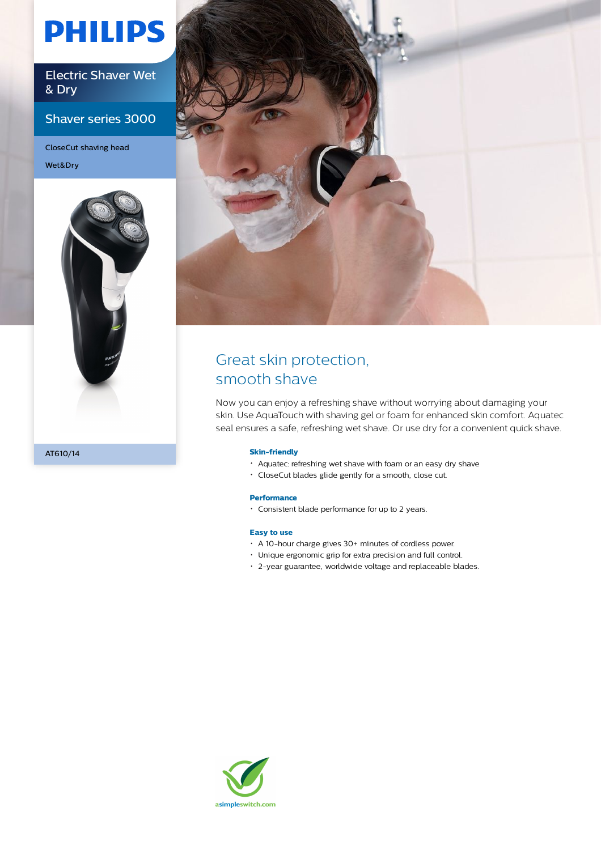# **PHILIPS**

Electric Shaver Wet & Dry

Shaver series 3000

CloseCut shaving head Wet&Dry





## Great skin protection, smooth shave

Now you can enjoy a refreshing shave without worrying about damaging your skin. Use AquaTouch with shaving gel or foam for enhanced skin comfort. Aquatec seal ensures a safe, refreshing wet shave. Or use dry for a convenient quick shave.

#### **Skin-friendly**

- Aquatec: refreshing wet shave with foam or an easy dry shave
- CloseCut blades glide gently for a smooth, close cut.

#### **Performance**

Consistent blade performance for up to 2 years.

#### **Easy to use**

- A 10-hour charge gives 30+ minutes of cordless power.
- Unique ergonomic grip for extra precision and full control.
- 2-year guarantee, worldwide voltage and replaceable blades.